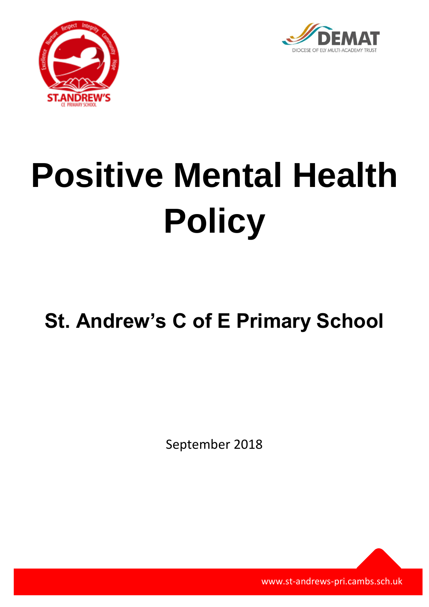



# **Positive Mental Health Policy**

# **St. Andrew's C of E Primary School**

September 2018

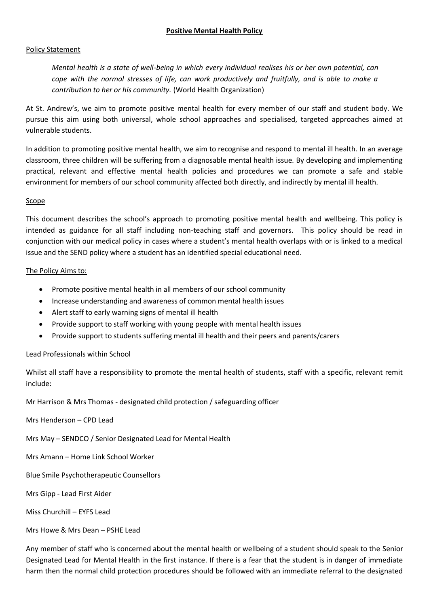# **Positive Mental Health Policy**

#### Policy Statement

*Mental health is a state of well-being in which every individual realises his or her own potential, can cope with the normal stresses of life, can work productively and fruitfully, and is able to make a contribution to her or his community.* (World Health Organization)

At St. Andrew's, we aim to promote positive mental health for every member of our staff and student body. We pursue this aim using both universal, whole school approaches and specialised, targeted approaches aimed at vulnerable students.

In addition to promoting positive mental health, we aim to recognise and respond to mental ill health. In an average classroom, three children will be suffering from a diagnosable mental health issue. By developing and implementing practical, relevant and effective mental health policies and procedures we can promote a safe and stable environment for members of our school community affected both directly, and indirectly by mental ill health.

#### **Scope**

This document describes the school's approach to promoting positive mental health and wellbeing. This policy is intended as guidance for all staff including non-teaching staff and governors. This policy should be read in conjunction with our medical policy in cases where a student's mental health overlaps with or is linked to a medical issue and the SEND policy where a student has an identified special educational need.

# The Policy Aims to:

- Promote positive mental health in all members of our school community
- Increase understanding and awareness of common mental health issues
- Alert staff to early warning signs of mental ill health
- Provide support to staff working with young people with mental health issues
- Provide support to students suffering mental ill health and their peers and parents/carers

#### Lead Professionals within School

Whilst all staff have a responsibility to promote the mental health of students, staff with a specific, relevant remit include:

Mr Harrison & Mrs Thomas - designated child protection / safeguarding officer

Mrs Henderson – CPD Lead

Mrs May – SENDCO / Senior Designated Lead for Mental Health

Mrs Amann – Home Link School Worker

Blue Smile Psychotherapeutic Counsellors

Mrs Gipp - Lead First Aider

Miss Churchill – EYFS Lead

Mrs Howe & Mrs Dean – PSHE Lead

Any member of staff who is concerned about the mental health or wellbeing of a student should speak to the Senior Designated Lead for Mental Health in the first instance. If there is a fear that the student is in danger of immediate harm then the normal child protection procedures should be followed with an immediate referral to the designated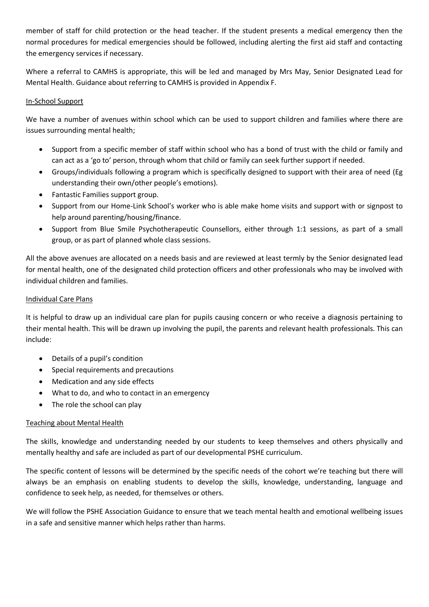member of staff for child protection or the head teacher. If the student presents a medical emergency then the normal procedures for medical emergencies should be followed, including alerting the first aid staff and contacting the emergency services if necessary.

Where a referral to CAMHS is appropriate, this will be led and managed by Mrs May, Senior Designated Lead for Mental Health. Guidance about referring to CAMHS is provided in Appendix F.

# In-School Support

We have a number of avenues within school which can be used to support children and families where there are issues surrounding mental health;

- Support from a specific member of staff within school who has a bond of trust with the child or family and can act as a 'go to' person, through whom that child or family can seek further support if needed.
- Groups/individuals following a program which is specifically designed to support with their area of need (Eg understanding their own/other people's emotions).
- Fantastic Families support group.
- Support from our Home-Link School's worker who is able make home visits and support with or signpost to help around parenting/housing/finance.
- Support from Blue Smile Psychotherapeutic Counsellors, either through 1:1 sessions, as part of a small group, or as part of planned whole class sessions.

All the above avenues are allocated on a needs basis and are reviewed at least termly by the Senior designated lead for mental health, one of the designated child protection officers and other professionals who may be involved with individual children and families.

# Individual Care Plans

It is helpful to draw up an individual care plan for pupils causing concern or who receive a diagnosis pertaining to their mental health. This will be drawn up involving the pupil, the parents and relevant health professionals. This can include:

- Details of a pupil's condition
- Special requirements and precautions
- Medication and any side effects
- What to do, and who to contact in an emergency
- The role the school can play

# Teaching about Mental Health

The skills, knowledge and understanding needed by our students to keep themselves and others physically and mentally healthy and safe are included as part of our developmental PSHE curriculum.

The specific content of lessons will be determined by the specific needs of the cohort we're teaching but there will always be an emphasis on enabling students to develop the skills, knowledge, understanding, language and confidence to seek help, as needed, for themselves or others.

We will follow the PSHE Association Guidance to ensure that we teach mental health and emotional wellbeing issues in a safe and sensitive manner which helps rather than harms.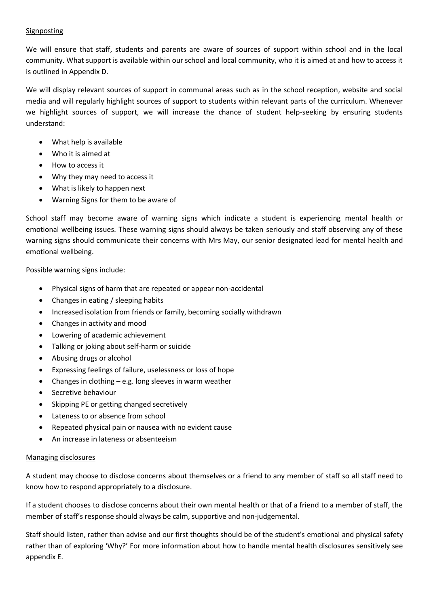# Signposting

We will ensure that staff, students and parents are aware of sources of support within school and in the local community. What support is available within our school and local community, who it is aimed at and how to access it is outlined in Appendix D.

We will display relevant sources of support in communal areas such as in the school reception, website and social media and will regularly highlight sources of support to students within relevant parts of the curriculum. Whenever we highlight sources of support, we will increase the chance of student help-seeking by ensuring students understand:

- What help is available
- Who it is aimed at
- How to access it
- Why they may need to access it
- What is likely to happen next
- Warning Signs for them to be aware of

School staff may become aware of warning signs which indicate a student is experiencing mental health or emotional wellbeing issues. These warning signs should always be taken seriously and staff observing any of these warning signs should communicate their concerns with Mrs May, our senior designated lead for mental health and emotional wellbeing.

Possible warning signs include:

- Physical signs of harm that are repeated or appear non-accidental
- Changes in eating / sleeping habits
- Increased isolation from friends or family, becoming socially withdrawn
- Changes in activity and mood
- Lowering of academic achievement
- Talking or joking about self-harm or suicide
- Abusing drugs or alcohol
- Expressing feelings of failure, uselessness or loss of hope
- Changes in clothing e.g. long sleeves in warm weather
- Secretive behaviour
- Skipping PE or getting changed secretively
- Lateness to or absence from school
- Repeated physical pain or nausea with no evident cause
- An increase in lateness or absenteeism

#### Managing disclosures

A student may choose to disclose concerns about themselves or a friend to any member of staff so all staff need to know how to respond appropriately to a disclosure.

If a student chooses to disclose concerns about their own mental health or that of a friend to a member of staff, the member of staff's response should always be calm, supportive and non-judgemental.

Staff should listen, rather than advise and our first thoughts should be of the student's emotional and physical safety rather than of exploring 'Why?' For more information about how to handle mental health disclosures sensitively see appendix E.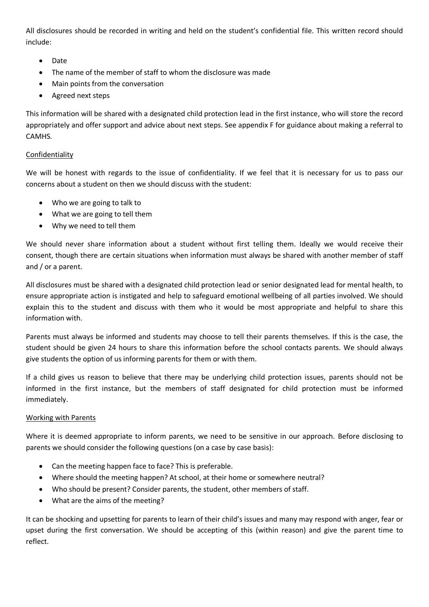All disclosures should be recorded in writing and held on the student's confidential file. This written record should include:

- Date
- The name of the member of staff to whom the disclosure was made
- Main points from the conversation
- Agreed next steps

This information will be shared with a designated child protection lead in the first instance, who will store the record appropriately and offer support and advice about next steps. See appendix F for guidance about making a referral to CAMHS.

# Confidentiality

We will be honest with regards to the issue of confidentiality. If we feel that it is necessary for us to pass our concerns about a student on then we should discuss with the student:

- Who we are going to talk to
- What we are going to tell them
- Why we need to tell them

We should never share information about a student without first telling them. Ideally we would receive their consent, though there are certain situations when information must always be shared with another member of staff and / or a parent.

All disclosures must be shared with a designated child protection lead or senior designated lead for mental health, to ensure appropriate action is instigated and help to safeguard emotional wellbeing of all parties involved. We should explain this to the student and discuss with them who it would be most appropriate and helpful to share this information with.

Parents must always be informed and students may choose to tell their parents themselves. If this is the case, the student should be given 24 hours to share this information before the school contacts parents. We should always give students the option of us informing parents for them or with them.

If a child gives us reason to believe that there may be underlying child protection issues, parents should not be informed in the first instance, but the members of staff designated for child protection must be informed immediately.

# Working with Parents

Where it is deemed appropriate to inform parents, we need to be sensitive in our approach. Before disclosing to parents we should consider the following questions (on a case by case basis):

- Can the meeting happen face to face? This is preferable.
- Where should the meeting happen? At school, at their home or somewhere neutral?
- Who should be present? Consider parents, the student, other members of staff.
- What are the aims of the meeting?

It can be shocking and upsetting for parents to learn of their child's issues and many may respond with anger, fear or upset during the first conversation. We should be accepting of this (within reason) and give the parent time to reflect.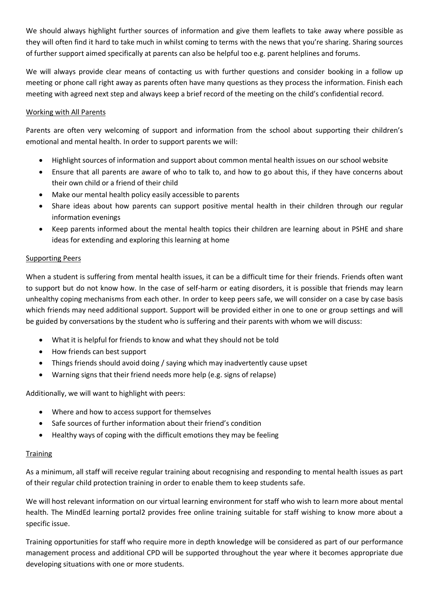We should always highlight further sources of information and give them leaflets to take away where possible as they will often find it hard to take much in whilst coming to terms with the news that you're sharing. Sharing sources of further support aimed specifically at parents can also be helpful too e.g. parent helplines and forums.

We will always provide clear means of contacting us with further questions and consider booking in a follow up meeting or phone call right away as parents often have many questions as they process the information. Finish each meeting with agreed next step and always keep a brief record of the meeting on the child's confidential record.

# Working with All Parents

Parents are often very welcoming of support and information from the school about supporting their children's emotional and mental health. In order to support parents we will:

- Highlight sources of information and support about common mental health issues on our school website
- Ensure that all parents are aware of who to talk to, and how to go about this, if they have concerns about their own child or a friend of their child
- Make our mental health policy easily accessible to parents
- Share ideas about how parents can support positive mental health in their children through our regular information evenings
- Keep parents informed about the mental health topics their children are learning about in PSHE and share ideas for extending and exploring this learning at home

# Supporting Peers

When a student is suffering from mental health issues, it can be a difficult time for their friends. Friends often want to support but do not know how. In the case of self-harm or eating disorders, it is possible that friends may learn unhealthy coping mechanisms from each other. In order to keep peers safe, we will consider on a case by case basis which friends may need additional support. Support will be provided either in one to one or group settings and will be guided by conversations by the student who is suffering and their parents with whom we will discuss:

- What it is helpful for friends to know and what they should not be told
- How friends can best support
- Things friends should avoid doing / saying which may inadvertently cause upset
- Warning signs that their friend needs more help (e.g. signs of relapse)

Additionally, we will want to highlight with peers:

- Where and how to access support for themselves
- Safe sources of further information about their friend's condition
- Healthy ways of coping with the difficult emotions they may be feeling

# **Training**

As a minimum, all staff will receive regular training about recognising and responding to mental health issues as part of their regular child protection training in order to enable them to keep students safe.

We will host relevant information on our virtual learning environment for staff who wish to learn more about mental health. The MindEd learning portal2 provides free online training suitable for staff wishing to know more about a specific issue.

Training opportunities for staff who require more in depth knowledge will be considered as part of our performance management process and additional CPD will be supported throughout the year where it becomes appropriate due developing situations with one or more students.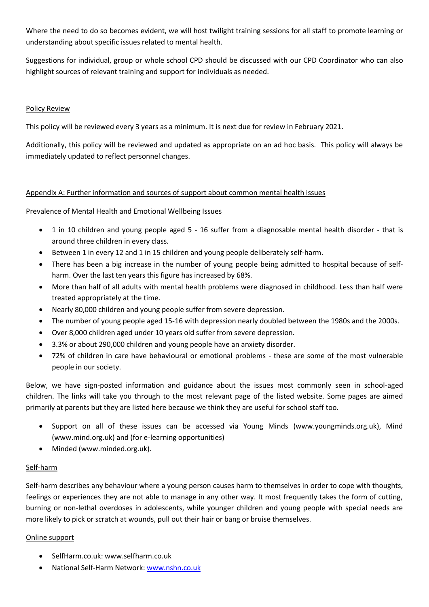Where the need to do so becomes evident, we will host twilight training sessions for all staff to promote learning or understanding about specific issues related to mental health.

Suggestions for individual, group or whole school CPD should be discussed with our CPD Coordinator who can also highlight sources of relevant training and support for individuals as needed.

# Policy Review

This policy will be reviewed every 3 years as a minimum. It is next due for review in February 2021.

Additionally, this policy will be reviewed and updated as appropriate on an ad hoc basis. This policy will always be immediately updated to reflect personnel changes.

# Appendix A: Further information and sources of support about common mental health issues

Prevalence of Mental Health and Emotional Wellbeing Issues

- 1 in 10 children and young people aged 5 16 suffer from a diagnosable mental health disorder that is around three children in every class.
- Between 1 in every 12 and 1 in 15 children and young people deliberately self-harm.
- There has been a big increase in the number of young people being admitted to hospital because of selfharm. Over the last ten years this figure has increased by 68%.
- More than half of all adults with mental health problems were diagnosed in childhood. Less than half were treated appropriately at the time.
- Nearly 80,000 children and young people suffer from severe depression.
- The number of young people aged 15-16 with depression nearly doubled between the 1980s and the 2000s.
- Over 8,000 children aged under 10 years old suffer from severe depression.
- 3.3% or about 290,000 children and young people have an anxiety disorder.
- 72% of children in care have behavioural or emotional problems these are some of the most vulnerable people in our society.

Below, we have sign-posted information and guidance about the issues most commonly seen in school-aged children. The links will take you through to the most relevant page of the listed website. Some pages are aimed primarily at parents but they are listed here because we think they are useful for school staff too.

- Support on all of these issues can be accessed via Young Minds (www.youngminds.org.uk), Mind (www.mind.org.uk) and (for e-learning opportunities)
- Minded (www.minded.org.uk).

# Self-harm

Self-harm describes any behaviour where a young person causes harm to themselves in order to cope with thoughts, feelings or experiences they are not able to manage in any other way. It most frequently takes the form of cutting, burning or non-lethal overdoses in adolescents, while younger children and young people with special needs are more likely to pick or scratch at wounds, pull out their hair or bang or bruise themselves.

# Online support

- SelfHarm.co.uk: www.selfharm.co.uk
- National Self-Harm Network[: www.nshn.co.uk](http://www.nshn.co.uk/)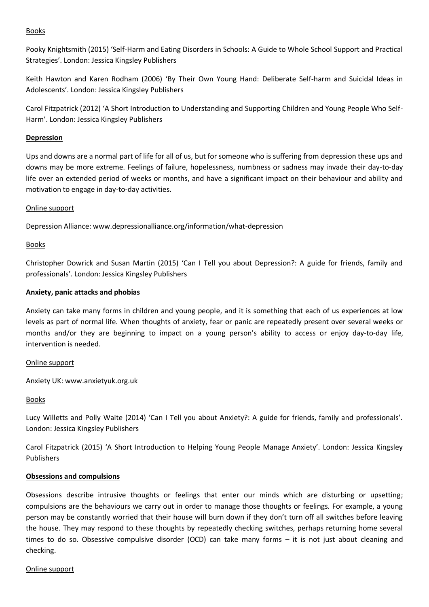#### Books

Pooky Knightsmith (2015) 'Self-Harm and Eating Disorders in Schools: A Guide to Whole School Support and Practical Strategies'. London: Jessica Kingsley Publishers

Keith Hawton and Karen Rodham (2006) 'By Their Own Young Hand: Deliberate Self-harm and Suicidal Ideas in Adolescents'. London: Jessica Kingsley Publishers

Carol Fitzpatrick (2012) 'A Short Introduction to Understanding and Supporting Children and Young People Who Self-Harm'. London: Jessica Kingsley Publishers

# **Depression**

Ups and downs are a normal part of life for all of us, but for someone who is suffering from depression these ups and downs may be more extreme. Feelings of failure, hopelessness, numbness or sadness may invade their day-to-day life over an extended period of weeks or months, and have a significant impact on their behaviour and ability and motivation to engage in day-to-day activities.

#### Online support

Depression Alliance: www.depressionalliance.org/information/what-depression

# Books

Christopher Dowrick and Susan Martin (2015) 'Can I Tell you about Depression?: A guide for friends, family and professionals'. London: Jessica Kingsley Publishers

# **Anxiety, panic attacks and phobias**

Anxiety can take many forms in children and young people, and it is something that each of us experiences at low levels as part of normal life. When thoughts of anxiety, fear or panic are repeatedly present over several weeks or months and/or they are beginning to impact on a young person's ability to access or enjoy day-to-day life, intervention is needed.

#### Online support

Anxiety UK: www.anxietyuk.org.uk

#### Books

Lucy Willetts and Polly Waite (2014) 'Can I Tell you about Anxiety?: A guide for friends, family and professionals'. London: Jessica Kingsley Publishers

Carol Fitzpatrick (2015) 'A Short Introduction to Helping Young People Manage Anxiety'. London: Jessica Kingsley Publishers

#### **Obsessions and compulsions**

Obsessions describe intrusive thoughts or feelings that enter our minds which are disturbing or upsetting; compulsions are the behaviours we carry out in order to manage those thoughts or feelings. For example, a young person may be constantly worried that their house will burn down if they don't turn off all switches before leaving the house. They may respond to these thoughts by repeatedly checking switches, perhaps returning home several times to do so. Obsessive compulsive disorder (OCD) can take many forms – it is not just about cleaning and checking.

#### Online support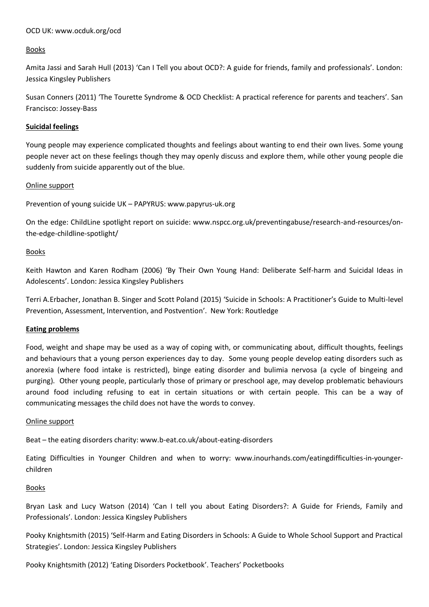#### OCD UK: www.ocduk.org/ocd

# **Books**

Amita Jassi and Sarah Hull (2013) 'Can I Tell you about OCD?: A guide for friends, family and professionals'. London: Jessica Kingsley Publishers

Susan Conners (2011) 'The Tourette Syndrome & OCD Checklist: A practical reference for parents and teachers'. San Francisco: Jossey-Bass

#### **Suicidal feelings**

Young people may experience complicated thoughts and feelings about wanting to end their own lives. Some young people never act on these feelings though they may openly discuss and explore them, while other young people die suddenly from suicide apparently out of the blue.

#### Online support

Prevention of young suicide UK – PAPYRUS: www.papyrus-uk.org

On the edge: ChildLine spotlight report on suicide: www.nspcc.org.uk/preventingabuse/research-and-resources/onthe-edge-childline-spotlight/

# Books

Keith Hawton and Karen Rodham (2006) 'By Their Own Young Hand: Deliberate Self-harm and Suicidal Ideas in Adolescents'. London: Jessica Kingsley Publishers

Terri A.Erbacher, Jonathan B. Singer and Scott Poland (2015) 'Suicide in Schools: A Practitioner's Guide to Multi-level Prevention, Assessment, Intervention, and Postvention'. New York: Routledge

#### **Eating problems**

Food, weight and shape may be used as a way of coping with, or communicating about, difficult thoughts, feelings and behaviours that a young person experiences day to day. Some young people develop eating disorders such as anorexia (where food intake is restricted), binge eating disorder and bulimia nervosa (a cycle of bingeing and purging). Other young people, particularly those of primary or preschool age, may develop problematic behaviours around food including refusing to eat in certain situations or with certain people. This can be a way of communicating messages the child does not have the words to convey.

#### Online support

Beat – the eating disorders charity: www.b-eat.co.uk/about-eating-disorders

Eating Difficulties in Younger Children and when to worry: www.inourhands.com/eatingdifficulties-in-youngerchildren

#### Books

Bryan Lask and Lucy Watson (2014) 'Can I tell you about Eating Disorders?: A Guide for Friends, Family and Professionals'. London: Jessica Kingsley Publishers

Pooky Knightsmith (2015) 'Self-Harm and Eating Disorders in Schools: A Guide to Whole School Support and Practical Strategies'. London: Jessica Kingsley Publishers

Pooky Knightsmith (2012) 'Eating Disorders Pocketbook'. Teachers' Pocketbooks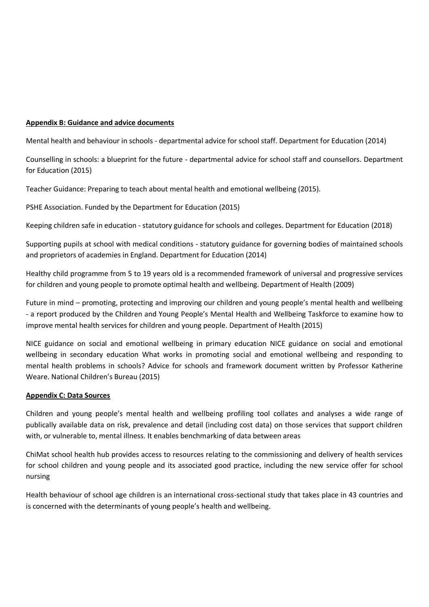#### **Appendix B: Guidance and advice documents**

Mental health and behaviour in schools - departmental advice for school staff. Department for Education (2014)

Counselling in schools: a blueprint for the future - departmental advice for school staff and counsellors. Department for Education (2015)

Teacher Guidance: Preparing to teach about mental health and emotional wellbeing (2015).

PSHE Association. Funded by the Department for Education (2015)

Keeping children safe in education - statutory guidance for schools and colleges. Department for Education (2018)

Supporting pupils at school with medical conditions - statutory guidance for governing bodies of maintained schools and proprietors of academies in England. Department for Education (2014)

Healthy child programme from 5 to 19 years old is a recommended framework of universal and progressive services for children and young people to promote optimal health and wellbeing. Department of Health (2009)

Future in mind – promoting, protecting and improving our children and young people's mental health and wellbeing - a report produced by the Children and Young People's Mental Health and Wellbeing Taskforce to examine how to improve mental health services for children and young people. Department of Health (2015)

NICE guidance on social and emotional wellbeing in primary education NICE guidance on social and emotional wellbeing in secondary education What works in promoting social and emotional wellbeing and responding to mental health problems in schools? Advice for schools and framework document written by Professor Katherine Weare. National Children's Bureau (2015)

#### **Appendix C: Data Sources**

Children and young people's mental health and wellbeing profiling tool collates and analyses a wide range of publically available data on risk, prevalence and detail (including cost data) on those services that support children with, or vulnerable to, mental illness. It enables benchmarking of data between areas

ChiMat school health hub provides access to resources relating to the commissioning and delivery of health services for school children and young people and its associated good practice, including the new service offer for school nursing

Health behaviour of school age children is an international cross-sectional study that takes place in 43 countries and is concerned with the determinants of young people's health and wellbeing.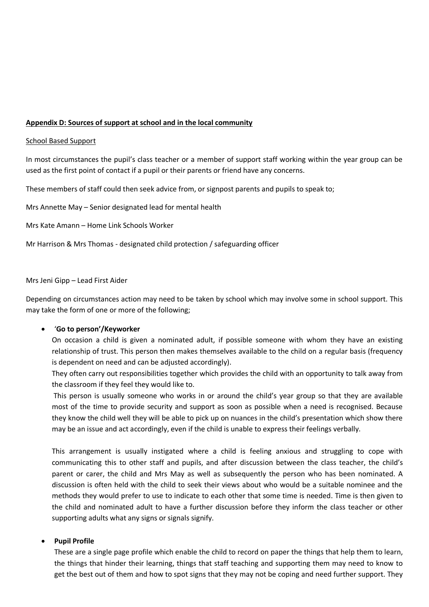#### **Appendix D: Sources of support at school and in the local community**

#### School Based Support

In most circumstances the pupil's class teacher or a member of support staff working within the year group can be used as the first point of contact if a pupil or their parents or friend have any concerns.

These members of staff could then seek advice from, or signpost parents and pupils to speak to;

Mrs Annette May – Senior designated lead for mental health

Mrs Kate Amann – Home Link Schools Worker

Mr Harrison & Mrs Thomas - designated child protection / safeguarding officer

#### Mrs Jeni Gipp – Lead First Aider

Depending on circumstances action may need to be taken by school which may involve some in school support. This may take the form of one or more of the following;

#### '**Go to person'/Keyworker**

On occasion a child is given a nominated adult, if possible someone with whom they have an existing relationship of trust. This person then makes themselves available to the child on a regular basis (frequency is dependent on need and can be adjusted accordingly).

They often carry out responsibilities together which provides the child with an opportunity to talk away from the classroom if they feel they would like to.

This person is usually someone who works in or around the child's year group so that they are available most of the time to provide security and support as soon as possible when a need is recognised. Because they know the child well they will be able to pick up on nuances in the child's presentation which show there may be an issue and act accordingly, even if the child is unable to express their feelings verbally.

This arrangement is usually instigated where a child is feeling anxious and struggling to cope with communicating this to other staff and pupils, and after discussion between the class teacher, the child's parent or carer, the child and Mrs May as well as subsequently the person who has been nominated. A discussion is often held with the child to seek their views about who would be a suitable nominee and the methods they would prefer to use to indicate to each other that some time is needed. Time is then given to the child and nominated adult to have a further discussion before they inform the class teacher or other supporting adults what any signs or signals signify.

#### **Pupil Profile**

These are a single page profile which enable the child to record on paper the things that help them to learn, the things that hinder their learning, things that staff teaching and supporting them may need to know to get the best out of them and how to spot signs that they may not be coping and need further support. They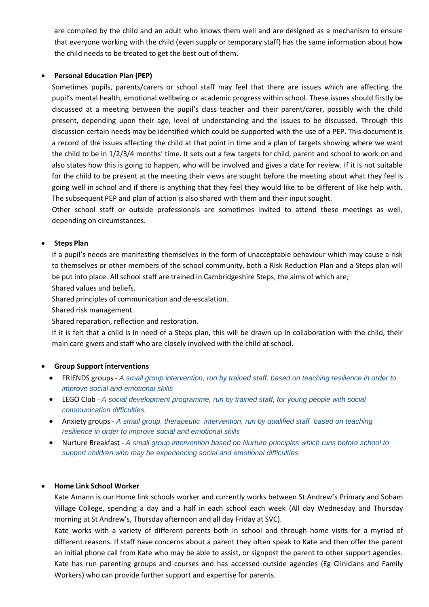are compiled by the child and an adult who knows them well and are designed as a mechanism to ensure that everyone working with the child (even supply or temporary staff) has the same information about how the child needs to be treated to get the best out of them.

# **Personal Education Plan (PEP)**

Sometimes pupils, parents/carers or school staff may feel that there are issues which are affecting the pupil's mental health, emotional wellbeing or academic progress within school. These issues should firstly be discussed at a meeting between the pupil's class teacher and their parent/carer, possibly with the child present, depending upon their age, level of understanding and the issues to be discussed. Through this discussion certain needs may be identified which could be supported with the use of a PEP. This document is a record of the issues affecting the child at that point in time and a plan of targets showing where we want the child to be in 1/2/3/4 months' time. It sets out a few targets for child, parent and school to work on and also states how this is going to happen, who will be involved and gives a date for review. If it is not suitable for the child to be present at the meeting their views are sought before the meeting about what they feel is going well in school and if there is anything that they feel they would like to be different of like help with. The subsequent PEP and plan of action is also shared with them and their input sought.

Other school staff or outside professionals are sometimes invited to attend these meetings as well, depending on circumstances.

# **•** Steps Plan

If a pupil's needs are manifesting themselves in the form of unacceptable behaviour which may cause a risk to themselves or other members of the school community, both a Risk Reduction Plan and a Steps plan will be put into place. All school staff are trained in Cambridgeshire Steps, the aims of which are;

Shared values and beliefs.

Shared principles of communication and de-escalation.

Shared risk management.

Shared reparation, reflection and restoration.

If it is felt that a child is in need of a Steps plan, this will be drawn up in collaboration with the child, their main care givers and staff who are closely involved with the child at school.

# **Group Support interventions**

- FRIENDS groups *A small group intervention, run by trained staff, based on teaching resilience in order to improve social and emotional skills*
- LEGO Club *A social development programme, run by trained staff, for young people with social communication difficulties.*
- Anxiety groups *A small group, therapeutic intervention, run by qualified staff based on teaching resilience in order to improve social and emotional skills*
- Nurture Breakfast *A small group intervention based on Nurture principles which runs before school to support children who may be experiencing social and emotional difficulties*

#### **Home Link School Worker**

Kate Amann is our Home link schools worker and currently works between St Andrew's Primary and Soham Village College, spending a day and a half in each school each week (All day Wednesday and Thursday morning at St Andrew's, Thursday afternoon and all day Friday at SVC).

Kate works with a variety of different parents both in school and through home visits for a myriad of different reasons. If staff have concerns about a parent they often speak to Kate and then offer the parent an initial phone call from Kate who may be able to assist, or signpost the parent to other support agencies. Kate has run parenting groups and courses and has accessed outside agencies (Eg Clinicians and Family Workers) who can provide further support and expertise for parents.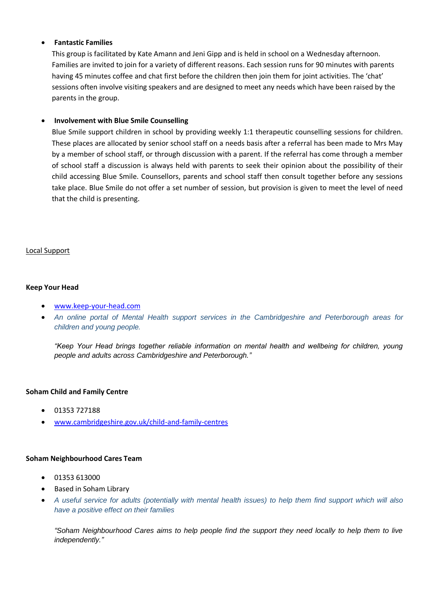# **Fantastic Families**

This group is facilitated by Kate Amann and Jeni Gipp and is held in school on a Wednesday afternoon. Families are invited to join for a variety of different reasons. Each session runs for 90 minutes with parents having 45 minutes coffee and chat first before the children then join them for joint activities. The 'chat' sessions often involve visiting speakers and are designed to meet any needs which have been raised by the parents in the group.

# **Involvement with Blue Smile Counselling**

Blue Smile support children in school by providing weekly 1:1 therapeutic counselling sessions for children. These places are allocated by senior school staff on a needs basis after a referral has been made to Mrs May by a member of school staff, or through discussion with a parent. If the referral has come through a member of school staff a discussion is always held with parents to seek their opinion about the possibility of their child accessing Blue Smile. Counsellors, parents and school staff then consult together before any sessions take place. Blue Smile do not offer a set number of session, but provision is given to meet the level of need that the child is presenting.

#### Local Support

#### **Keep Your Head**

- [www.keep-your-head.com](http://www.keep-your-head.com/)
- *An online portal of Mental Health support services in the Cambridgeshire and Peterborough areas for children and young people.*

*"Keep Your Head brings together reliable information on mental health and wellbeing for children, young people and adults across Cambridgeshire and Peterborough."*

#### **Soham Child and Family Centre**

- $-01353727188$
- [www.cambridgeshire.gov.uk/child-and-family-centres](http://www.cambridgeshire.gov.uk/child-and-family-centres)

#### **Soham Neighbourhood Cares Team**

- 01353 613000
- Based in Soham Library
- *A useful service for adults (potentially with mental health issues) to help them find support which will also have a positive effect on their families*

*"Soham Neighbourhood Cares aims to help people find the support they need locally to help them to live independently."*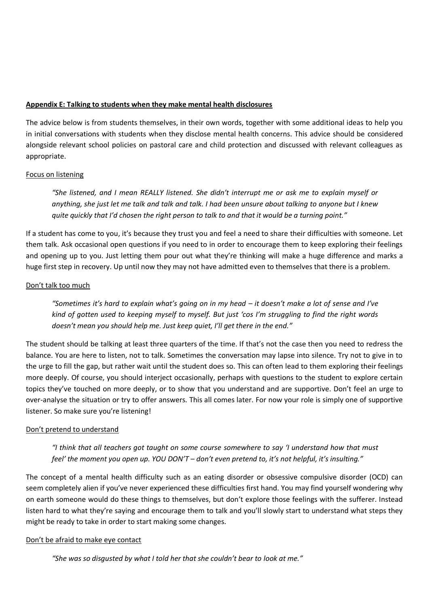#### **Appendix E: Talking to students when they make mental health disclosures**

The advice below is from students themselves, in their own words, together with some additional ideas to help you in initial conversations with students when they disclose mental health concerns. This advice should be considered alongside relevant school policies on pastoral care and child protection and discussed with relevant colleagues as appropriate.

# Focus on listening

*"She listened, and I mean REALLY listened. She didn't interrupt me or ask me to explain myself or anything, she just let me talk and talk and talk. I had been unsure about talking to anyone but I knew quite quickly that I'd chosen the right person to talk to and that it would be a turning point."*

If a student has come to you, it's because they trust you and feel a need to share their difficulties with someone. Let them talk. Ask occasional open questions if you need to in order to encourage them to keep exploring their feelings and opening up to you. Just letting them pour out what they're thinking will make a huge difference and marks a huge first step in recovery. Up until now they may not have admitted even to themselves that there is a problem.

# Don't talk too much

*"Sometimes it's hard to explain what's going on in my head – it doesn't make a lot of sense and I've kind of gotten used to keeping myself to myself. But just 'cos I'm struggling to find the right words doesn't mean you should help me. Just keep quiet, I'll get there in the end."*

The student should be talking at least three quarters of the time. If that's not the case then you need to redress the balance. You are here to listen, not to talk. Sometimes the conversation may lapse into silence. Try not to give in to the urge to fill the gap, but rather wait until the student does so. This can often lead to them exploring their feelings more deeply. Of course, you should interject occasionally, perhaps with questions to the student to explore certain topics they've touched on more deeply, or to show that you understand and are supportive. Don't feel an urge to over-analyse the situation or try to offer answers. This all comes later. For now your role is simply one of supportive listener. So make sure you're listening!

# Don't pretend to understand

*"I think that all teachers got taught on some course somewhere to say 'I understand how that must feel' the moment you open up. YOU DON'T – don't even pretend to, it's not helpful, it's insulting."*

The concept of a mental health difficulty such as an eating disorder or obsessive compulsive disorder (OCD) can seem completely alien if you've never experienced these difficulties first hand. You may find yourself wondering why on earth someone would do these things to themselves, but don't explore those feelings with the sufferer. Instead listen hard to what they're saying and encourage them to talk and you'll slowly start to understand what steps they might be ready to take in order to start making some changes.

# Don't be afraid to make eye contact

*"She was so disgusted by what I told her that she couldn't bear to look at me."*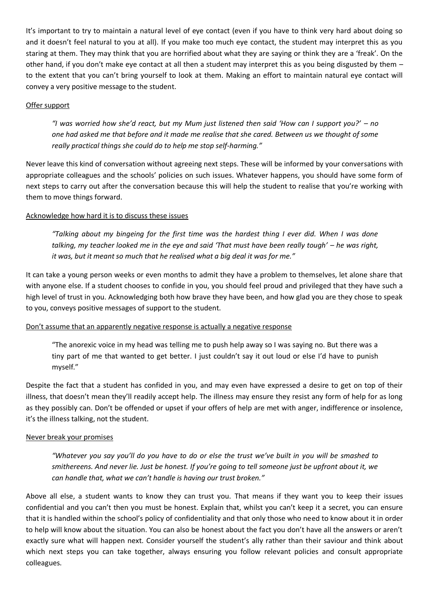It's important to try to maintain a natural level of eye contact (even if you have to think very hard about doing so and it doesn't feel natural to you at all). If you make too much eye contact, the student may interpret this as you staring at them. They may think that you are horrified about what they are saying or think they are a 'freak'. On the other hand, if you don't make eye contact at all then a student may interpret this as you being disgusted by them – to the extent that you can't bring yourself to look at them. Making an effort to maintain natural eye contact will convey a very positive message to the student.

# Offer support

*"I was worried how she'd react, but my Mum just listened then said 'How can I support you?' – no one had asked me that before and it made me realise that she cared. Between us we thought of some really practical things she could do to help me stop self-harming."*

Never leave this kind of conversation without agreeing next steps. These will be informed by your conversations with appropriate colleagues and the schools' policies on such issues. Whatever happens, you should have some form of next steps to carry out after the conversation because this will help the student to realise that you're working with them to move things forward.

# Acknowledge how hard it is to discuss these issues

*"Talking about my bingeing for the first time was the hardest thing I ever did. When I was done talking, my teacher looked me in the eye and said 'That must have been really tough' – he was right, it was, but it meant so much that he realised what a big deal it was for me."*

It can take a young person weeks or even months to admit they have a problem to themselves, let alone share that with anyone else. If a student chooses to confide in you, you should feel proud and privileged that they have such a high level of trust in you. Acknowledging both how brave they have been, and how glad you are they chose to speak to you, conveys positive messages of support to the student.

# Don't assume that an apparently negative response is actually a negative response

"The anorexic voice in my head was telling me to push help away so I was saying no. But there was a tiny part of me that wanted to get better. I just couldn't say it out loud or else I'd have to punish myself."

Despite the fact that a student has confided in you, and may even have expressed a desire to get on top of their illness, that doesn't mean they'll readily accept help. The illness may ensure they resist any form of help for as long as they possibly can. Don't be offended or upset if your offers of help are met with anger, indifference or insolence, it's the illness talking, not the student.

# Never break your promises

*"Whatever you say you'll do you have to do or else the trust we've built in you will be smashed to smithereens. And never lie. Just be honest. If you're going to tell someone just be upfront about it, we can handle that, what we can't handle is having our trust broken."*

Above all else, a student wants to know they can trust you. That means if they want you to keep their issues confidential and you can't then you must be honest. Explain that, whilst you can't keep it a secret, you can ensure that it is handled within the school's policy of confidentiality and that only those who need to know about it in order to help will know about the situation. You can also be honest about the fact you don't have all the answers or aren't exactly sure what will happen next. Consider yourself the student's ally rather than their saviour and think about which next steps you can take together, always ensuring you follow relevant policies and consult appropriate colleagues.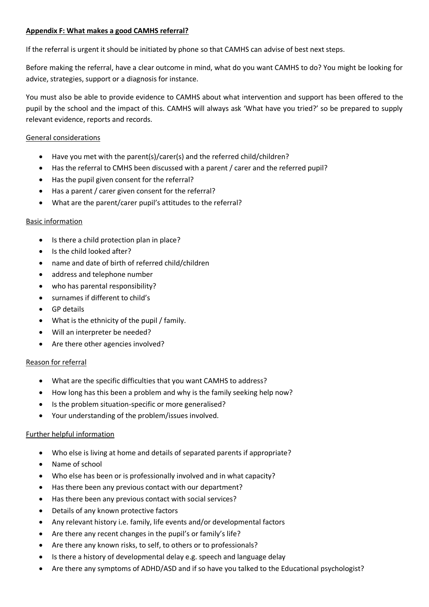# **Appendix F: What makes a good CAMHS referral?**

If the referral is urgent it should be initiated by phone so that CAMHS can advise of best next steps.

Before making the referral, have a clear outcome in mind, what do you want CAMHS to do? You might be looking for advice, strategies, support or a diagnosis for instance.

You must also be able to provide evidence to CAMHS about what intervention and support has been offered to the pupil by the school and the impact of this. CAMHS will always ask 'What have you tried?' so be prepared to supply relevant evidence, reports and records.

# General considerations

- Have you met with the parent(s)/carer(s) and the referred child/children?
- Has the referral to CMHS been discussed with a parent / carer and the referred pupil?
- Has the pupil given consent for the referral?
- Has a parent / carer given consent for the referral?
- What are the parent/carer pupil's attitudes to the referral?

# Basic information

- Is there a child protection plan in place?
- Is the child looked after?
- name and date of birth of referred child/children
- address and telephone number
- who has parental responsibility?
- surnames if different to child's
- GP details
- What is the ethnicity of the pupil / family.
- Will an interpreter be needed?
- Are there other agencies involved?

# Reason for referral

- What are the specific difficulties that you want CAMHS to address?
- How long has this been a problem and why is the family seeking help now?
- Is the problem situation-specific or more generalised?
- Your understanding of the problem/issues involved.

# Further helpful information

- Who else is living at home and details of separated parents if appropriate?
- Name of school
- Who else has been or is professionally involved and in what capacity?
- Has there been any previous contact with our department?
- Has there been any previous contact with social services?
- Details of any known protective factors
- Any relevant history i.e. family, life events and/or developmental factors
- Are there any recent changes in the pupil's or family's life?
- Are there any known risks, to self, to others or to professionals?
- Is there a history of developmental delay e.g. speech and language delay
- Are there any symptoms of ADHD/ASD and if so have you talked to the Educational psychologist?